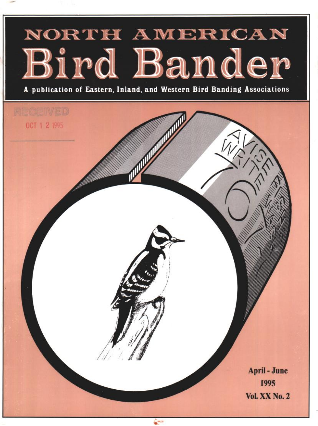# NORTH AMERICAN Bird Bander

**A publication of Eastern, Inland, and Western Bird Banding Associations**